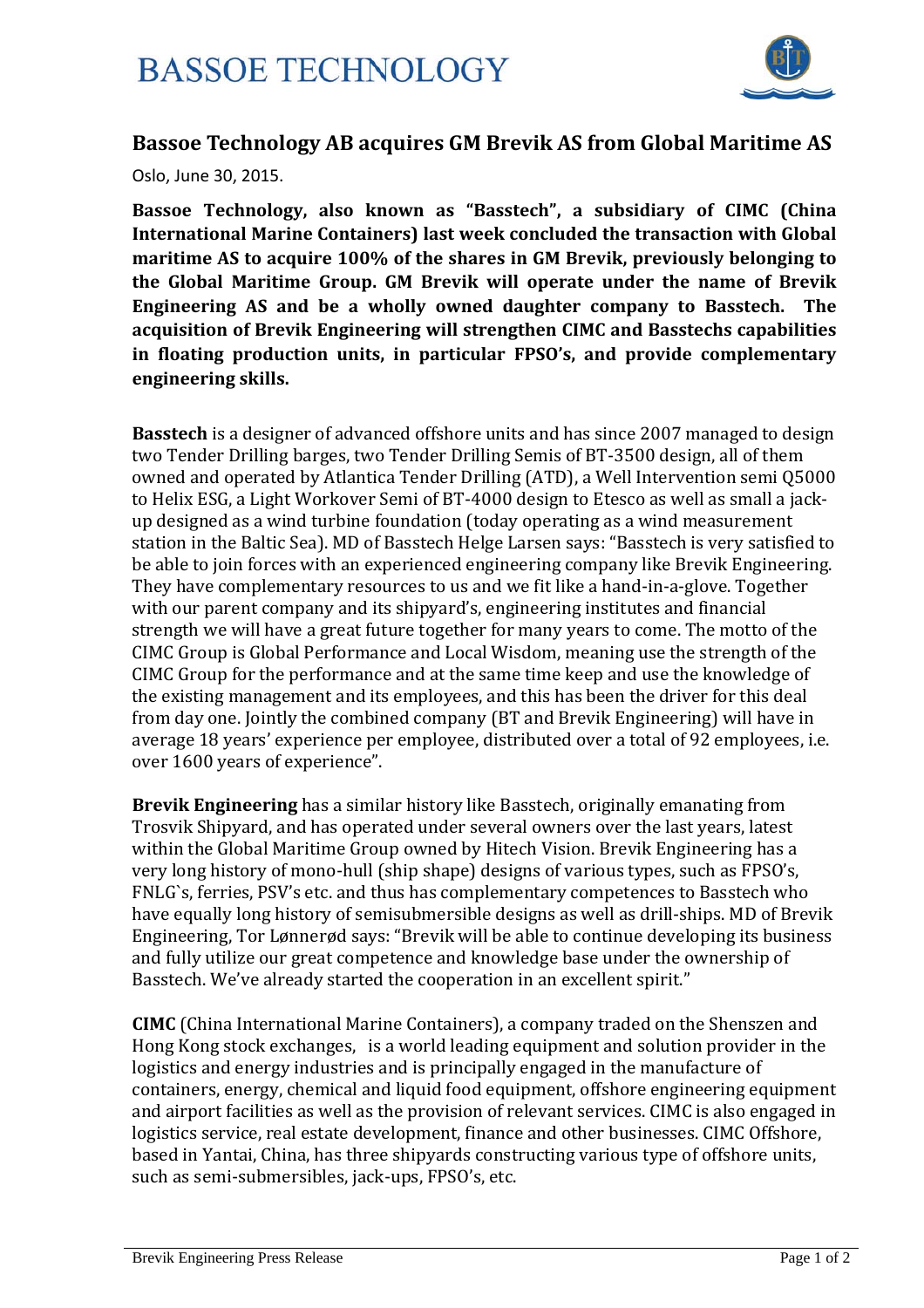

## **Bassoe Technology AB acquires GM Brevik AS from Global Maritime AS**

Oslo, June 30, 2015.

**Bassoe Technology, also known as "Basstech", a subsidiary of CIMC (China International Marine Containers) last week concluded the transaction with Global maritime AS to acquire 100% of the shares in GM Brevik, previously belonging to the Global Maritime Group. GM Brevik will operate under the name of Brevik Engineering AS and be a wholly owned daughter company to Basstech. The acquisition of Brevik Engineering will strengthen CIMC and Basstechs capabilities in floating production units, in particular FPSO's, and provide complementary engineering skills.**

**Basstech** is a designer of advanced offshore units and has since 2007 managed to design two Tender Drilling barges, two Tender Drilling Semis of BT-3500 design, all of them owned and operated by Atlantica Tender Drilling (ATD), a Well Intervention semi 05000 to Helix ESG, a Light Workover Semi of BT-4000 design to Etesco as well as small a jackup designed as a wind turbine foundation (today operating as a wind measurement station in the Baltic Sea). MD of Basstech Helge Larsen says: "Basstech is very satisfied to be able to join forces with an experienced engineering company like Brevik Engineering. They have complementary resources to us and we fit like a hand-in-a-glove. Together with our parent company and its shipyard's, engineering institutes and financial strength we will have a great future together for many years to come. The motto of the CIMC Group is Global Performance and Local Wisdom, meaning use the strength of the CIMC Group for the performance and at the same time keep and use the knowledge of the existing management and its employees, and this has been the driver for this deal from day one. Jointly the combined company (BT and Brevik Engineering) will have in average 18 years' experience per employee, distributed over a total of 92 employees, i.e. over 1600 years of experience".

**Brevik Engineering** has a similar history like Basstech, originally emanating from Trosvik Shipyard, and has operated under several owners over the last vears, latest within the Global Maritime Group owned by Hitech Vision. Brevik Engineering has a very long history of mono-hull (ship shape) designs of various types, such as FPSO's, FNLG`s, ferries, PSV's etc. and thus has complementary competences to Basstech who have equally long history of semisubmersible designs as well as drill-ships. MD of Brevik Engineering, Tor Lønnerød says: "Brevik will be able to continue developing its business and fully utilize our great competence and knowledge base under the ownership of Basstech. We've already started the cooperation in an excellent spirit."

**CIMC** (China International Marine Containers), a company traded on the Shenszen and Hong Kong stock exchanges, is a world leading equipment and solution provider in the logistics and energy industries and is principally engaged in the manufacture of containers, energy, chemical and liquid food equipment, offshore engineering equipment and airport facilities as well as the provision of relevant services. CIMC is also engaged in logistics service, real estate development, finance and other businesses. CIMC Offshore, based in Yantai, China, has three shipyards constructing various type of offshore units, such as semi-submersibles, jack-ups, FPSO's, etc.